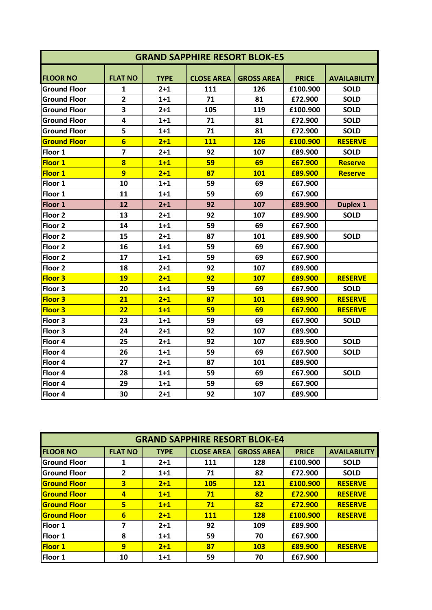| <b>GRAND SAPPHIRE RESORT BLOK-E5</b> |                         |             |                   |                   |              |                     |
|--------------------------------------|-------------------------|-------------|-------------------|-------------------|--------------|---------------------|
| <b>FLOOR NO</b>                      | <b>FLAT NO</b>          | <b>TYPE</b> | <b>CLOSE AREA</b> | <b>GROSS AREA</b> | <b>PRICE</b> | <b>AVAILABILITY</b> |
| <b>Ground Floor</b>                  | 1                       | $2 + 1$     | 111               | 126               | £100.900     | <b>SOLD</b>         |
| <b>Ground Floor</b>                  | $\overline{2}$          | $1 + 1$     | 71                | 81                | £72.900      | <b>SOLD</b>         |
| <b>Ground Floor</b>                  | $\overline{\mathbf{3}}$ | $2 + 1$     | 105               | 119               | £100.900     | <b>SOLD</b>         |
| <b>Ground Floor</b>                  | $\overline{\mathbf{4}}$ | $1+1$       | 71                | 81                | £72.900      | <b>SOLD</b>         |
| <b>Ground Floor</b>                  | 5                       | $1 + 1$     | 71                | 81                | £72.900      | <b>SOLD</b>         |
| <b>Ground Floor</b>                  | $6\overline{6}$         | $2 + 1$     | 111               | <b>126</b>        | £100.900     | <b>RESERVE</b>      |
| Floor 1                              | $\overline{7}$          | $2 + 1$     | 92                | 107               | £89.900      | <b>SOLD</b>         |
| <b>Floor 1</b>                       | $\overline{\mathbf{8}}$ | $1+1$       | 59                | 69                | £67.900      | <b>Reserve</b>      |
| <b>Floor 1</b>                       | $\overline{9}$          | $2 + 1$     | 87                | <b>101</b>        | £89.900      | <b>Reserve</b>      |
| Floor 1                              | 10                      | $1+1$       | 59                | 69                | £67.900      |                     |
| Floor 1                              | 11                      | $1+1$       | 59                | 69                | £67.900      |                     |
| Floor 1                              | 12                      | $2 + 1$     | 92                | 107               | £89.900      | <b>Duplex 1</b>     |
| Floor <sub>2</sub>                   | 13                      | $2 + 1$     | 92                | 107               | £89.900      | <b>SOLD</b>         |
| Floor <sub>2</sub>                   | 14                      | $1+1$       | 59                | 69                | £67.900      |                     |
| Floor <sub>2</sub>                   | 15                      | $2 + 1$     | 87                | 101               | £89.900      | <b>SOLD</b>         |
| Floor <sub>2</sub>                   | 16                      | $1+1$       | 59                | 69                | £67.900      |                     |
| Floor <sub>2</sub>                   | 17                      | $1+1$       | 59                | 69                | £67.900      |                     |
| Floor <sub>2</sub>                   | 18                      | $2 + 1$     | 92                | 107               | £89.900      |                     |
| <b>Floor 3</b>                       | 19                      | $2 + 1$     | 92                | <b>107</b>        | £89.900      | <b>RESERVE</b>      |
| Floor 3                              | 20                      | $1+1$       | 59                | 69                | £67.900      | <b>SOLD</b>         |
| <b>Floor 3</b>                       | 21                      | $2 + 1$     | 87                | 101               | £89.900      | <b>RESERVE</b>      |
| <b>Floor 3</b>                       | 22                      | $1+1$       | 59                | 69                | £67.900      | <b>RESERVE</b>      |
| Floor 3                              | 23                      | $1+1$       | 59                | 69                | £67.900      | <b>SOLD</b>         |
| Floor 3                              | 24                      | $2 + 1$     | 92                | 107               | £89.900      |                     |
| Floor 4                              | 25                      | $2 + 1$     | 92                | 107               | £89.900      | <b>SOLD</b>         |
| Floor 4                              | 26                      | $1+1$       | 59                | 69                | £67.900      | <b>SOLD</b>         |
| Floor 4                              | 27                      | $2 + 1$     | 87                | 101               | £89.900      |                     |
| Floor 4                              | 28                      | $1+1$       | 59                | 69                | £67.900      | <b>SOLD</b>         |
| Floor 4                              | 29                      | $1+1$       | 59                | 69                | £67.900      |                     |
| Floor 4                              | 30                      | 2+1         | 92                | 107               | £89.900      |                     |

| <b>GRAND SAPPHIRE RESORT BLOK-E4</b> |                |             |                   |                   |              |                     |  |
|--------------------------------------|----------------|-------------|-------------------|-------------------|--------------|---------------------|--|
| <b>FLOOR NO</b>                      | <b>FLAT NO</b> | <b>TYPE</b> | <b>CLOSE AREA</b> | <b>GROSS AREA</b> | <b>PRICE</b> | <b>AVAILABILITY</b> |  |
| <b>Ground Floor</b>                  | 1              | $2+1$       | 111               | 128               | £100.900     | <b>SOLD</b>         |  |
| <b>Ground Floor</b>                  | 2              | $1+1$       | 71                | 82                | £72.900      | <b>SOLD</b>         |  |
| <b>Ground Floor</b>                  | 3              | $2+1$       | <b>105</b>        | <b>121</b>        | £100.900     | <b>RESERVE</b>      |  |
| <b>Ground Floor</b>                  | $\overline{a}$ | $1+1$       | 71                | 82                | £72.900      | <b>RESERVE</b>      |  |
| <b>Ground Floor</b>                  | 5              | $1+1$       | 71                | 82                | £72.900      | <b>RESERVE</b>      |  |
| <b>Ground Floor</b>                  | 6              | $2 + 1$     | <b>111</b>        | <b>128</b>        | £100.900     | <b>RESERVE</b>      |  |
| Floor 1                              | 7              | $2 + 1$     | 92                | 109               | £89.900      |                     |  |
| Floor 1                              | 8              | $1+1$       | 59                | 70                | £67.900      |                     |  |
| <b>Floor 1</b>                       | $\overline{9}$ | $2+1$       | 87                | <b>103</b>        | £89.900      | <b>RESERVE</b>      |  |
| Floor 1                              | 10             | $1+1$       | 59                | 70                | £67.900      |                     |  |